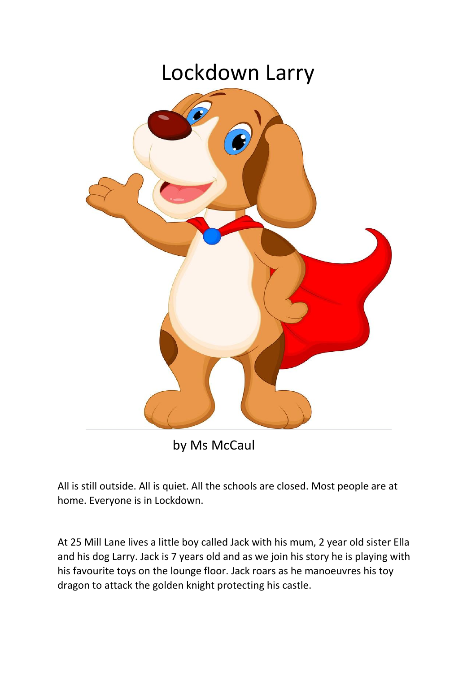## Lockdown Larry



by Ms McCaul

All is still outside. All is quiet. All the schools are closed. Most people are at home. Everyone is in Lockdown.

At 25 Mill Lane lives a little boy called Jack with his mum, 2 year old sister Ella and his dog Larry. Jack is 7 years old and as we join his story he is playing with his favourite toys on the lounge floor. Jack roars as he manoeuvres his toy dragon to attack the golden knight protecting his castle.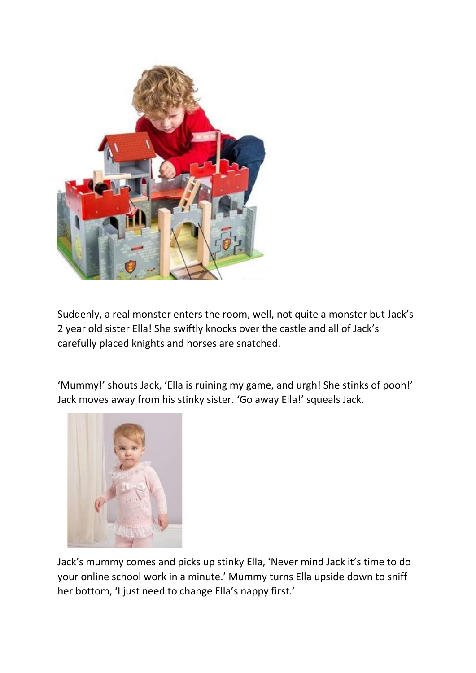

Suddenly, a real monster enters the room, well, not quite a monster but Jack's 2 year old sister Ella! She swiftly knocks over the castle and all of Jack's carefully placed knights and horses are snatched.

'Mummy!' shouts Jack, 'Ella is ruining my game, and urgh! She stinks of pooh!' Jack moves away from his stinky sister. 'Go away Ella!' squeals Jack.



Jack's mummy comes and picks up stinky Ella, 'Never mind Jack it's time to do your online school work in a minute.' Mummy turns Ella upside down to sniff her bottom, 'I just need to change Ella's nappy first.'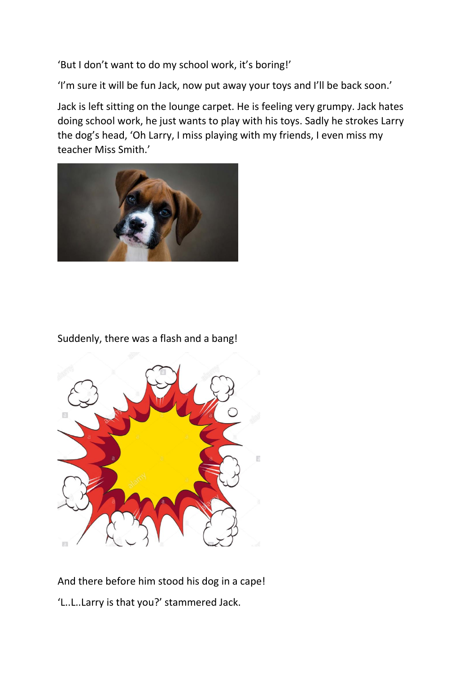'But I don't want to do my school work, it's boring!'

'I'm sure it will be fun Jack, now put away your toys and I'll be back soon.'

Jack is left sitting on the lounge carpet. He is feeling very grumpy. Jack hates doing school work, he just wants to play with his toys. Sadly he strokes Larry the dog's head, 'Oh Larry, I miss playing with my friends, I even miss my teacher Miss Smith.'



## Suddenly, there was a flash and a bang!



## And there before him stood his dog in a cape! 'L..L..Larry is that you?' stammered Jack.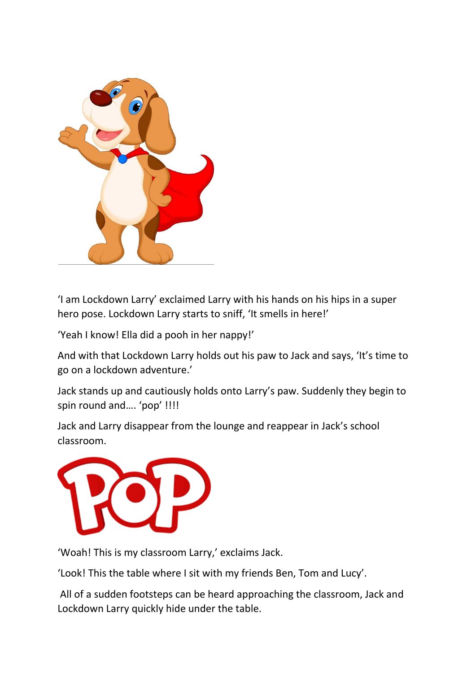

'I am Lockdown Larry' exclaimed Larry with his hands on his hips in a super hero pose. Lockdown Larry starts to sniff, 'It smells in here!'

'Yeah I know! Ella did a pooh in her nappy!'

And with that Lockdown Larry holds out his paw to Jack and says, 'It's time to go on a lockdown adventure.'

Jack stands up and cautiously holds onto Larry's paw. Suddenly they begin to spin round and…. 'pop' !!!!

Jack and Larry disappear from the lounge and reappear in Jack's school classroom.



'Woah! This is my classroom Larry,' exclaims Jack.

'Look! This the table where I sit with my friends Ben, Tom and Lucy'.

All of a sudden footsteps can be heard approaching the classroom, Jack and Lockdown Larry quickly hide under the table.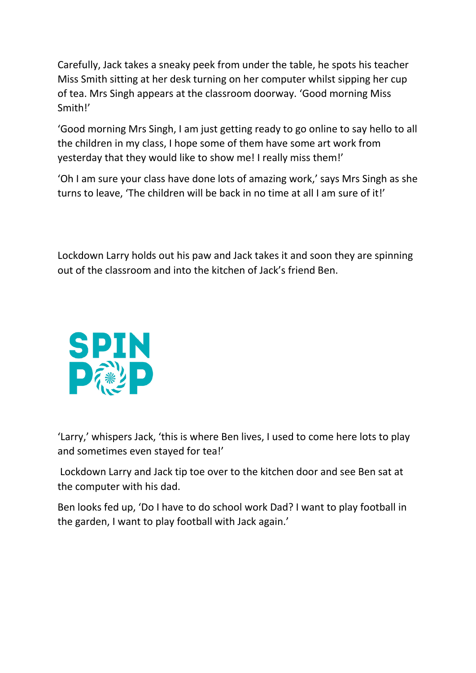Carefully, Jack takes a sneaky peek from under the table, he spots his teacher Miss Smith sitting at her desk turning on her computer whilst sipping her cup of tea. Mrs Singh appears at the classroom doorway. 'Good morning Miss Smith!'

'Good morning Mrs Singh, I am just getting ready to go online to say hello to all the children in my class, I hope some of them have some art work from yesterday that they would like to show me! I really miss them!'

'Oh I am sure your class have done lots of amazing work,' says Mrs Singh as she turns to leave, 'The children will be back in no time at all I am sure of it!'

Lockdown Larry holds out his paw and Jack takes it and soon they are spinning out of the classroom and into the kitchen of Jack's friend Ben.



'Larry,' whispers Jack, 'this is where Ben lives, I used to come here lots to play and sometimes even stayed for tea!'

Lockdown Larry and Jack tip toe over to the kitchen door and see Ben sat at the computer with his dad.

Ben looks fed up, 'Do I have to do school work Dad? I want to play football in the garden, I want to play football with Jack again.'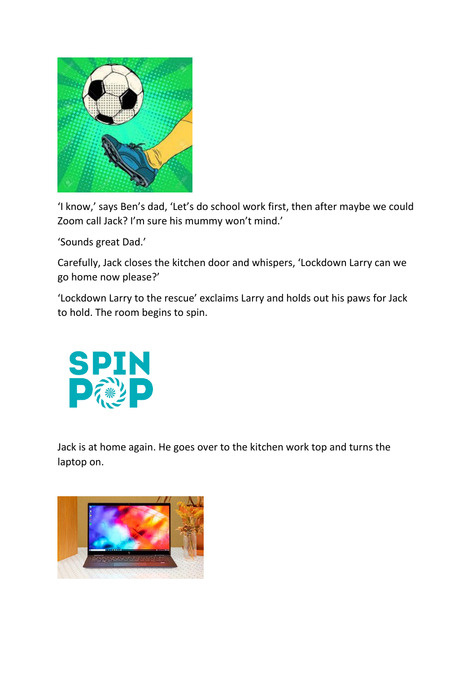

'I know,' says Ben's dad, 'Let's do school work first, then after maybe we could Zoom call Jack? I'm sure his mummy won't mind.'

'Sounds great Dad.'

Carefully, Jack closes the kitchen door and whispers, 'Lockdown Larry can we go home now please?'

'Lockdown Larry to the rescue' exclaims Larry and holds out his paws for Jack to hold. The room begins to spin.



Jack is at home again. He goes over to the kitchen work top and turns the laptop on.